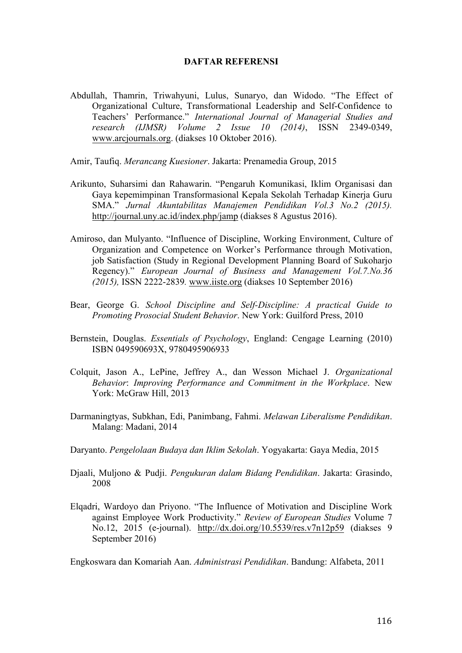## **DAFTAR REFERENSI**

Abdullah, Thamrin, Triwahyuni, Lulus, Sunaryo, dan Widodo. "The Effect of Organizational Culture, Transformational Leadership and Self-Confidence to Teachers' Performance." *International Journal of Managerial Studies and research (IJMSR) Volume 2 Issue 10 (2014)*, ISSN 2349-0349, www.arcjournals.org. (diakses 10 Oktober 2016).

Amir, Taufiq. *Merancang Kuesioner*. Jakarta: Prenamedia Group, 2015

- Arikunto, Suharsimi dan Rahawarin. "Pengaruh Komunikasi, Iklim Organisasi dan Gaya kepemimpinan Transformasional Kepala Sekolah Terhadap Kinerja Guru SMA." *Jurnal Akuntabilitas Manajemen Pendidikan Vol.3 No.2 (2015).* http://journal.uny.ac.id/index.php/jamp (diakses 8 Agustus 2016).
- Amiroso, dan Mulyanto. "Influence of Discipline, Working Environment, Culture of Organization and Competence on Worker's Performance through Motivation, job Satisfaction (Study in Regional Development Planning Board of Sukoharjo Regency)." *European Journal of Business and Management Vol.7.No.36 (2015),* ISSN 2222-2839*.* www.iiste.org (diakses 10 September 2016)
- Bear, George G. *School Discipline and Self-Discipline: A practical Guide to Promoting Prosocial Student Behavior*. New York: Guilford Press, 2010
- Bernstein, Douglas. *Essentials of Psychology*, England: Cengage Learning (2010) ISBN 049590693X, 9780495906933
- Colquit, Jason A., LePine, Jeffrey A., dan Wesson Michael J. *Organizational Behavior*: *Improving Performance and Commitment in the Workplace*. New York: McGraw Hill, 2013
- Darmaningtyas, Subkhan, Edi, Panimbang, Fahmi. *Melawan Liberalisme Pendidikan*. Malang: Madani, 2014
- Daryanto. *Pengelolaan Budaya dan Iklim Sekolah*. Yogyakarta: Gaya Media, 2015
- Djaali, Muljono & Pudji. *Pengukuran dalam Bidang Pendidikan*. Jakarta: Grasindo, 2008
- Elqadri, Wardoyo dan Priyono. "The Influence of Motivation and Discipline Work against Employee Work Productivity." *Review of European Studies* Volume 7 No.12, 2015 (e-journal). http://dx.doi.org/10.5539/res.v7n12p59 (diakses 9 September 2016)

Engkoswara dan Komariah Aan. *Administrasi Pendidikan*. Bandung: Alfabeta, 2011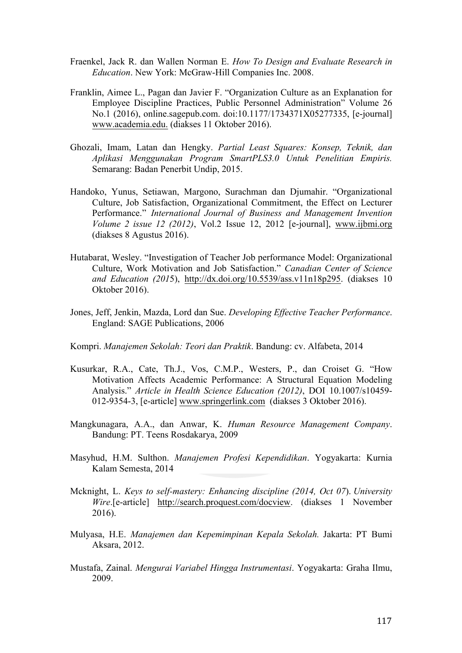- Fraenkel, Jack R. dan Wallen Norman E. *How To Design and Evaluate Research in Education*. New York: McGraw-Hill Companies Inc. 2008.
- Franklin, Aimee L., Pagan dan Javier F. "Organization Culture as an Explanation for Employee Discipline Practices, Public Personnel Administration" Volume 26 No.1 (2016), online.sagepub.com. doi:10.1177/1734371X05277335, [e-journal] www.academia.edu. (diakses 11 Oktober 2016).
- Ghozali, Imam, Latan dan Hengky. *Partial Least Squares: Konsep, Teknik, dan Aplikasi Menggunakan Program SmartPLS3.0 Untuk Penelitian Empiris.*  Semarang: Badan Penerbit Undip, 2015.
- Handoko, Yunus, Setiawan, Margono, Surachman dan Djumahir. "Organizational Culture, Job Satisfaction, Organizational Commitment, the Effect on Lecturer Performance." *International Journal of Business and Management Invention Volume 2 issue 12 (2012)*, Vol.2 Issue 12, 2012 [e-journal], www.ijbmi.org (diakses 8 Agustus 2016).
- Hutabarat, Wesley. "Investigation of Teacher Job performance Model: Organizational Culture, Work Motivation and Job Satisfaction." *Canadian Center of Science and Education (201*5), http://dx.doi.org/10.5539/ass.v11n18p295. (diakses 10 Oktober 2016).
- Jones, Jeff, Jenkin, Mazda, Lord dan Sue. *Developing Effective Teacher Performance*. England: SAGE Publications, 2006
- Kompri. *Manajemen Sekolah: Teori dan Praktik*. Bandung: cv. Alfabeta, 2014
- Kusurkar, R.A., Cate, Th.J., Vos, C.M.P., Westers, P., dan Croiset G. "How Motivation Affects Academic Performance: A Structural Equation Modeling Analysis." *Article in Health Science Education (2012)*, DOI 10.1007/s10459- 012-9354-3, [e-article] www.springerlink.com (diakses 3 Oktober 2016).
- Mangkunagara, A.A., dan Anwar, K. *Human Resource Management Company*. Bandung: PT. Teens Rosdakarya, 2009
- Masyhud, H.M. Sulthon. *Manajemen Profesi Kependidikan*. Yogyakarta: Kurnia Kalam Semesta, 2014
- Mcknight, L. *Keys to self-mastery: Enhancing discipline (2014, Oct 07*). *University Wire*.[e-article] http://search.proquest.com/docview. (diakses 1 November 2016).
- Mulyasa, H.E. *Manajemen dan Kepemimpinan Kepala Sekolah.* Jakarta: PT Bumi Aksara, 2012.
- Mustafa, Zainal. *Mengurai Variabel Hingga Instrumentasi*. Yogyakarta: Graha Ilmu, 2009.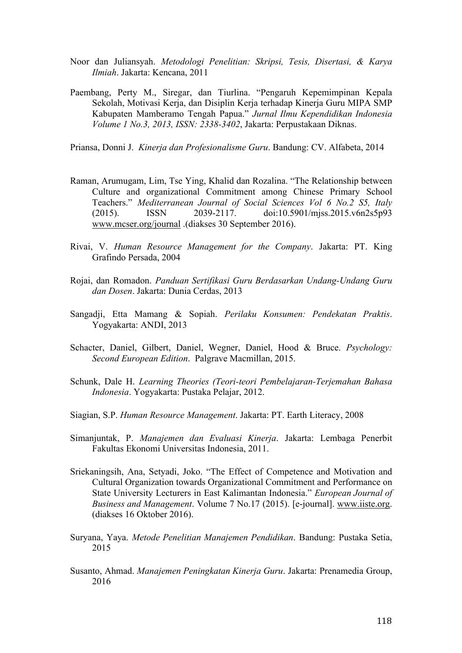- Noor dan Juliansyah. *Metodologi Penelitian: Skripsi, Tesis, Disertasi, & Karya Ilmiah*. Jakarta: Kencana, 2011
- Paembang, Perty M., Siregar, dan Tiurlina. "Pengaruh Kepemimpinan Kepala Sekolah, Motivasi Kerja, dan Disiplin Kerja terhadap Kinerja Guru MIPA SMP Kabupaten Mamberamo Tengah Papua." *Jurnal Ilmu Kependidikan Indonesia Volume 1 No.3, 2013, ISSN: 2338-3402*, Jakarta: Perpustakaan Diknas.

Priansa, Donni J. *Kinerja dan Profesionalisme Guru*. Bandung: CV. Alfabeta, 2014

- Raman, Arumugam, Lim, Tse Ying, Khalid dan Rozalina. "The Relationship between Culture and organizational Commitment among Chinese Primary School Teachers." *Mediterranean Journal of Social Sciences Vol 6 No.2 S5, Italy* (2015). ISSN 2039-2117. doi:10.5901/mjss.2015.v6n2s5p93 www.mcser.org/journal .(diakses 30 September 2016).
- Rivai, V. *Human Resource Management for the Company*. Jakarta: PT. King Grafindo Persada, 2004
- Rojai, dan Romadon. *Panduan Sertifikasi Guru Berdasarkan Undang-Undang Guru dan Dosen*. Jakarta: Dunia Cerdas, 2013
- Sangadji, Etta Mamang & Sopiah. *Perilaku Konsumen: Pendekatan Praktis*. Yogyakarta: ANDI, 2013
- Schacter, Daniel, Gilbert, Daniel, Wegner, Daniel, Hood & Bruce. *Psychology: Second European Edition*. Palgrave Macmillan, 2015.
- Schunk, Dale H. *Learning Theories (Teori-teori Pembelajaran-Terjemahan Bahasa Indonesia*. Yogyakarta: Pustaka Pelajar, 2012.
- Siagian, S.P. *Human Resource Management*. Jakarta: PT. Earth Literacy, 2008
- Simanjuntak, P. *Manajemen dan Evaluasi Kinerja*. Jakarta: Lembaga Penerbit Fakultas Ekonomi Universitas Indonesia, 2011.
- Sriekaningsih, Ana, Setyadi, Joko. "The Effect of Competence and Motivation and Cultural Organization towards Organizational Commitment and Performance on State University Lecturers in East Kalimantan Indonesia." *European Journal of Business and Management*. Volume 7 No.17 (2015). [e-journal]. www.iiste.org. (diakses 16 Oktober 2016).
- Suryana, Yaya. *Metode Penelitian Manajemen Pendidikan*. Bandung: Pustaka Setia, 2015
- Susanto, Ahmad. *Manajemen Peningkatan Kinerja Guru*. Jakarta: Prenamedia Group, 2016